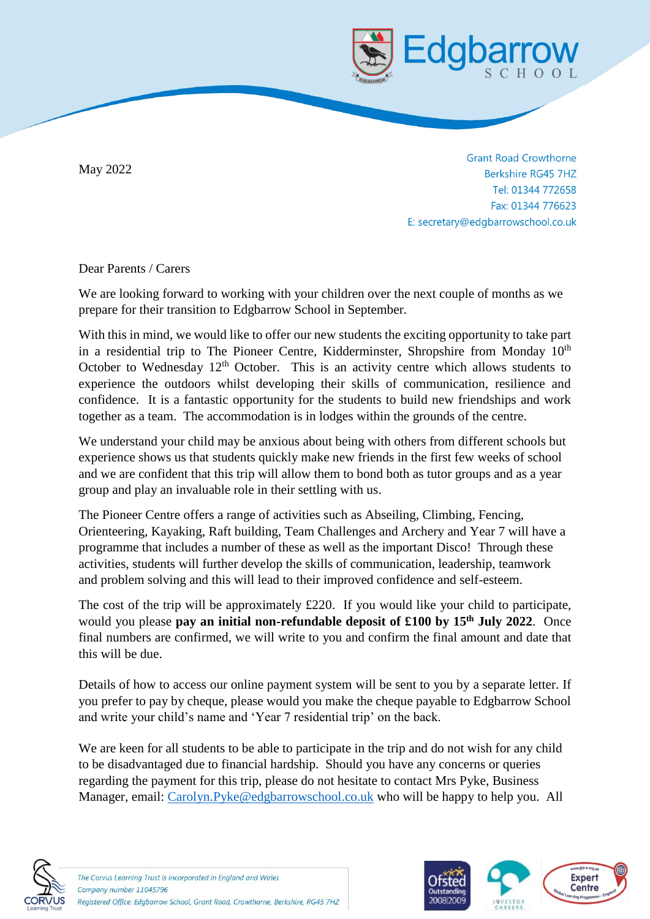

May 2022

**Grant Road Crowthorne Berkshire RG45 7HZ** Tel: 01344 772658 Fax: 01344 776623 E: secretary@edgbarrowschool.co.uk

Dear Parents / Carers

We are looking forward to working with your children over the next couple of months as we prepare for their transition to Edgbarrow School in September.

With this in mind, we would like to offer our new students the exciting opportunity to take part in a residential trip to The Pioneer Centre, Kidderminster, Shropshire from Monday  $10<sup>th</sup>$ October to Wednesday  $12<sup>th</sup>$  October. This is an activity centre which allows students to experience the outdoors whilst developing their skills of communication, resilience and confidence. It is a fantastic opportunity for the students to build new friendships and work together as a team. The accommodation is in lodges within the grounds of the centre.

We understand your child may be anxious about being with others from different schools but experience shows us that students quickly make new friends in the first few weeks of school and we are confident that this trip will allow them to bond both as tutor groups and as a year group and play an invaluable role in their settling with us.

The Pioneer Centre offers a range of activities such as Abseiling, Climbing, Fencing, Orienteering, Kayaking, Raft building, Team Challenges and Archery and Year 7 will have a programme that includes a number of these as well as the important Disco! Through these activities, students will further develop the skills of communication, leadership, teamwork and problem solving and this will lead to their improved confidence and self-esteem.

The cost of the trip will be approximately £220. If you would like your child to participate, would you please **pay an initial non-refundable deposit of £100 by 15th July 2022**. Once final numbers are confirmed, we will write to you and confirm the final amount and date that this will be due.

Details of how to access our online payment system will be sent to you by a separate letter. If you prefer to pay by cheque, please would you make the cheque payable to Edgbarrow School and write your child's name and 'Year 7 residential trip' on the back.

We are keen for all students to be able to participate in the trip and do not wish for any child to be disadvantaged due to financial hardship. Should you have any concerns or queries regarding the payment for this trip, please do not hesitate to contact Mrs Pyke, Business Manager, email: [Carolyn.Pyke@edgbarrowschool.co.uk](mailto:Carolyn.Pyke@edgbarrowschool.co.uk) who will be happy to help you. All